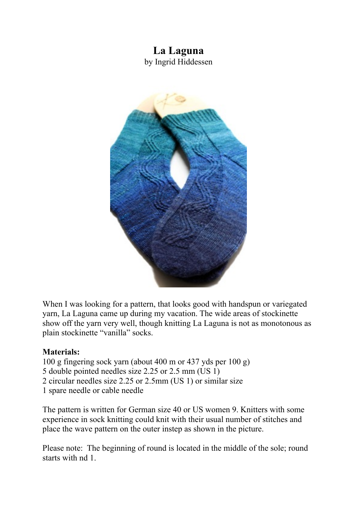## **La Laguna** by Ingrid Hiddessen



When I was looking for a pattern, that looks good with handspun or variegated yarn, La Laguna came up during my vacation. The wide areas of stockinette show off the yarn very well, though knitting La Laguna is not as monotonous as plain stockinette "vanilla" socks.

## **Materials:**

- 100 g fingering sock yarn (about 400 m or 437 yds per 100 g)
- 5 double pointed needles size 2.25 or 2.5 mm (US 1)
- 2 circular needles size 2.25 or 2.5mm (US 1) or similar size
- 1 spare needle or cable needle

The pattern is written for German size 40 or US women 9. Knitters with some experience in sock knitting could knit with their usual number of stitches and place the wave pattern on the outer instep as shown in the picture.

Please note: The beginning of round is located in the middle of the sole; round starts with nd 1.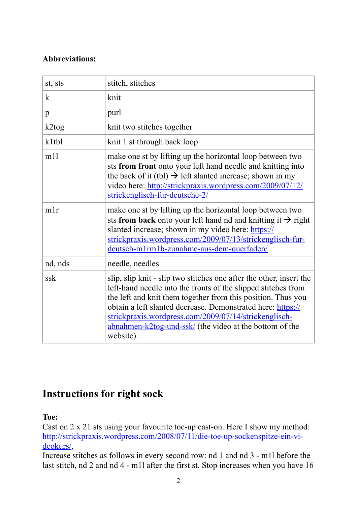## **Abbreviations:**

| st, sts      | stitch, stitches                                                                                                                                                                                                                                                                                                                                                                                     |
|--------------|------------------------------------------------------------------------------------------------------------------------------------------------------------------------------------------------------------------------------------------------------------------------------------------------------------------------------------------------------------------------------------------------------|
| $\mathbf{k}$ | knit                                                                                                                                                                                                                                                                                                                                                                                                 |
| $\mathbf{p}$ | purl                                                                                                                                                                                                                                                                                                                                                                                                 |
| $k2$ tog     | knit two stitches together                                                                                                                                                                                                                                                                                                                                                                           |
| k1tbl        | knit 1 st through back loop                                                                                                                                                                                                                                                                                                                                                                          |
| m11          | make one st by lifting up the horizontal loop between two<br>sts from front onto your left hand needle and knitting into<br>the back of it (tbl) $\rightarrow$ left slanted increase; shown in my<br>video here: http://strickpraxis.wordpress.com/2009/07/12/<br>strickenglisch-fur-deutsche-2/                                                                                                     |
| mlr          | make one st by lifting up the horizontal loop between two<br>sts from back onto your left hand nd and knitting it $\rightarrow$ right<br>slanted increase; shown in my video here: https://<br>strickpraxis.wordpress.com/2009/07/13/strickenglisch-fur-<br>deutsch-m1rm1b-zunahme-aus-dem-querfaden/                                                                                                |
| nd, nds      | needle, needles                                                                                                                                                                                                                                                                                                                                                                                      |
| ssk          | slip, slip knit - slip two stitches one after the other, insert the<br>left-hand needle into the fronts of the slipped stitches from<br>the left and knit them together from this position. Thus you<br>obtain a left slanted decrease. Demonstrated here: https://<br>strickpraxis.wordpress.com/2009/07/14/strickenglisch-<br>abnahmen-k2tog-und-ssk/ (the video at the bottom of the<br>website). |

# **Instructions for right sock**

## **Toe:**

Cast on 2 x 21 sts using your favourite toe-up cast-on. Here I show my method: [http://strickpraxis.wordpress.com/2008/07/11/die-toe-up-sockenspitze-ein-vi](http://strickpraxis.wordpress.com/2008/07/11/die-toe-up-sockenspitze-ein-videokurs/)deokurs/,

Increase stitches as follows in every second row: nd 1 and nd 3 - m1l before the last stitch, nd 2 and nd 4 - m1l after the first st. Stop increases when you have 16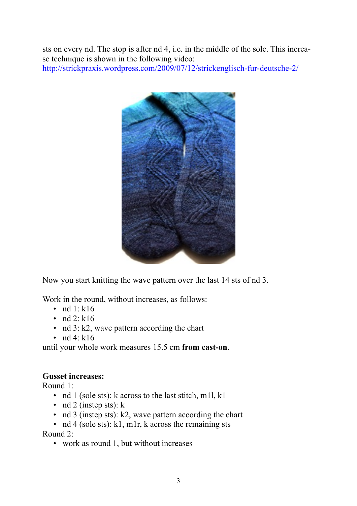sts on every nd. The stop is after nd 4, i.e. in the middle of the sole. This increase technique is shown in the following video: <http://strickpraxis.wordpress.com/2009/07/12/strickenglisch-fur-deutsche-2/>



Now you start knitting the wave pattern over the last 14 sts of nd 3.

Work in the round, without increases, as follows:

- nd  $1: k16$
- $\cdot$  nd 2: k16
- nd 3: k2, wave pattern according the chart
- nd 4:  $k16$

until your whole work measures 15.5 cm **from cast-on**.

#### **Gusset increases:**

Round 1:

- nd 1 (sole sts): k across to the last stitch, m1l, k1
- nd 2 (instep sts):  $k$
- nd 3 (instep sts): k2, wave pattern according the chart

• nd 4 (sole sts): k1, m1r, k across the remaining sts Round 2:

• work as round 1, but without increases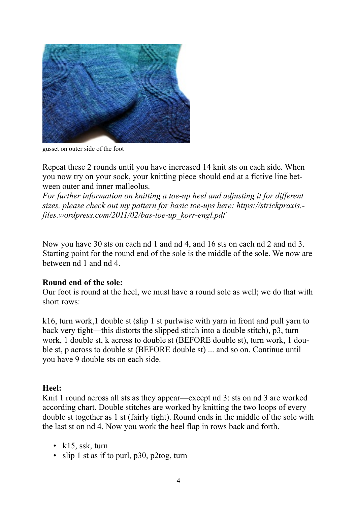

gusset on outer side of the foot

Repeat these 2 rounds until you have increased 14 knit sts on each side. When you now try on your sock, your knitting piece should end at a fictive line between outer and inner [malleolus.](http://www.dict.cc/englisch-deutsch/malleolus.html)

*For further information on knitting a toe-up heel and adjusting it for different sizes, please check out my pattern for basic toe-ups here: https://strickpraxis. files.wordpress.com/2011/02/bas-toe-up\_korr-engl.pdf*

Now you have 30 sts on each nd 1 and nd 4, and 16 sts on each nd 2 and nd 3. Starting point for the round end of the sole is the middle of the sole. We now are between nd 1 and nd 4.

#### **Round end of the sole:**

Our foot is round at the heel, we must have a round sole as well; we do that with short rows:

k16, turn work,1 double st (slip 1 st purlwise with yarn in front and pull yarn to back very tight—this distorts the slipped stitch into a double stitch), p3, turn work, 1 double st, k across to double st (BEFORE double st), turn work, 1 double st, p across to double st (BEFORE double st) ... and so on. Continue until you have 9 double sts on each side.

#### **Heel:**

Knit 1 round across all sts as they appear—except nd 3: sts on nd 3 are worked according chart. Double stitches are worked by knitting the two loops of every double st together as 1 st (fairly tight). Round ends in the middle of the sole with the last st on nd 4. Now you work the heel flap in rows back and forth.

- k15, ssk, turn
- slip 1 st as if to purl, p30, p2tog, turn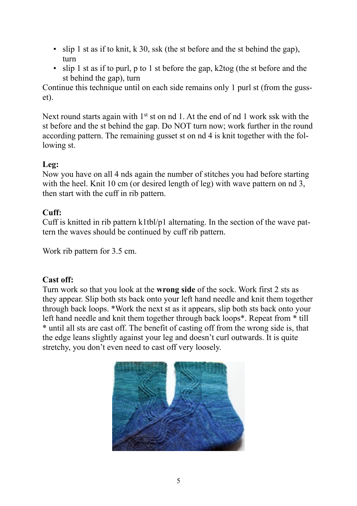- slip 1 st as if to knit, k 30, ssk (the st before and the st behind the gap). turn
- slip 1 st as if to purl, p to 1 st before the gap, k2tog (the st before and the st behind the gap), turn

Continue this technique until on each side remains only 1 purl st (from the gusset).

Next round starts again with 1<sup>st</sup> st on nd 1. At the end of nd 1 work ssk with the st before and the st behind the gap. Do NOT turn now; work further in the round according pattern. The remaining gusset st on nd 4 is knit together with the following st.

## **Leg:**

Now you have on all 4 nds again the number of stitches you had before starting with the heel. Knit 10 cm (or desired length of leg) with wave pattern on nd 3, then start with the cuff in rib pattern.

#### **Cuff:**

Cuff is knitted in rib pattern k1tbl/p1 alternating. In the section of the wave pattern the waves should be continued by cuff rib pattern.

Work rib pattern for 3.5 cm.

## **Cast off:**

Turn work so that you look at the **wrong side** of the sock. Work first 2 sts as they appear. Slip both sts back onto your left hand needle and knit them together through back loops. \*Work the next st as it appears, slip both sts back onto your left hand needle and knit them together through back loops\*. Repeat from \* till \* until all sts are cast off. The benefit of casting off from the wrong side is, that the edge leans slightly against your leg and doesn't curl outwards. It is quite stretchy, you don't even need to cast off very loosely.

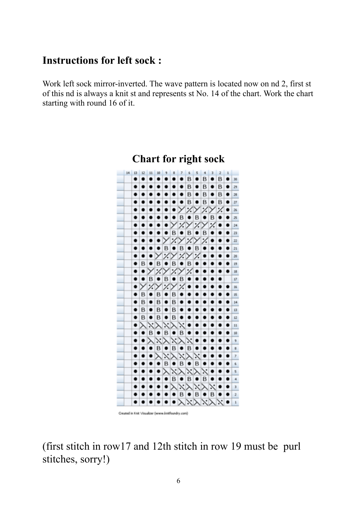## **Instructions for left sock :**

Work left sock mirror-inverted. The wave pattern is located now on nd 2, first st of this nd is always a knit st and represents st No. 14 of the chart. Work the chart starting with round 16 of it.



## **Chart for right sock**

Created in Knit Visualizer (www.knitfoundry.com)

(first stitch in row17 and 12th stitch in row 19 must be purl stitches, sorry!)